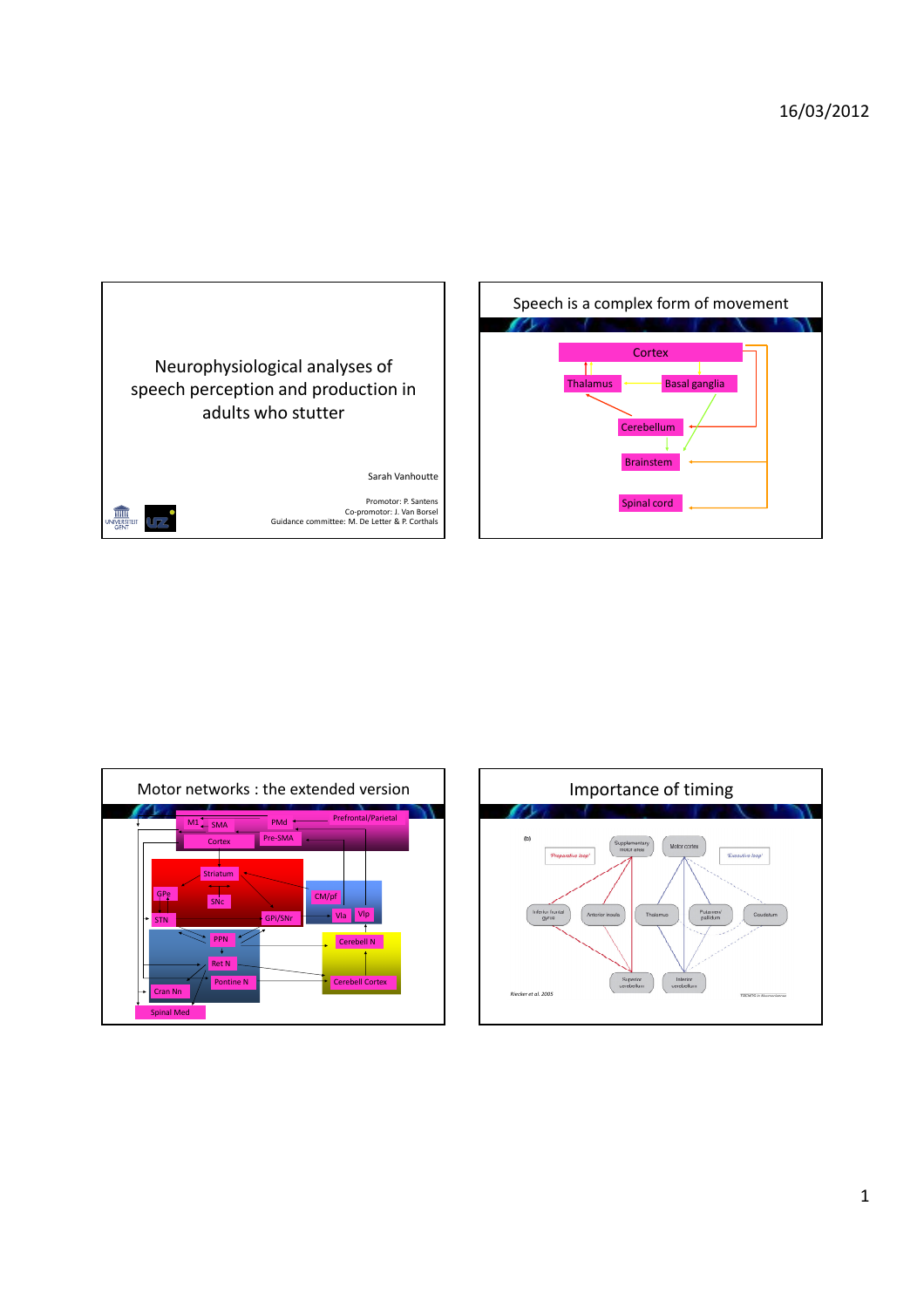



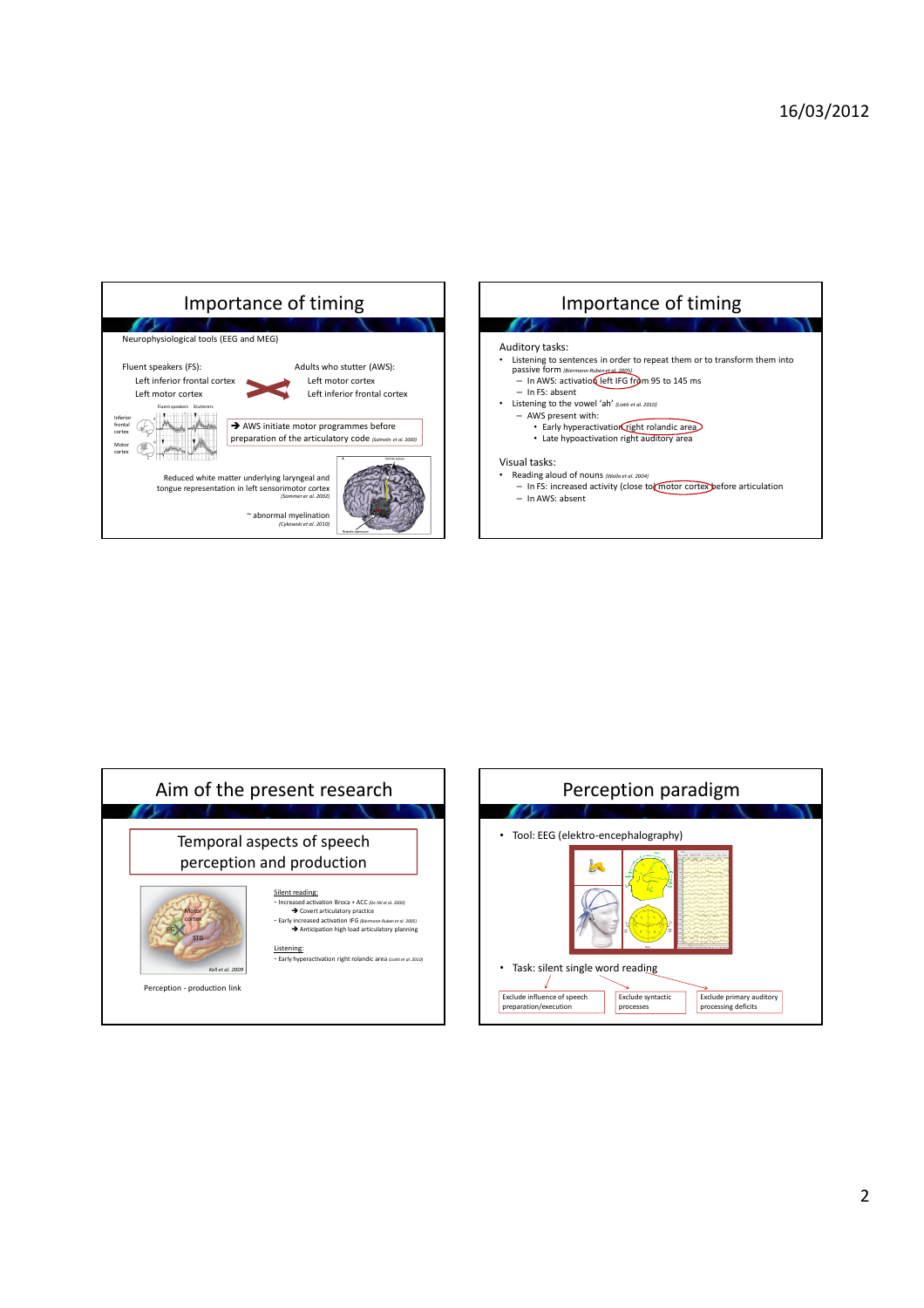